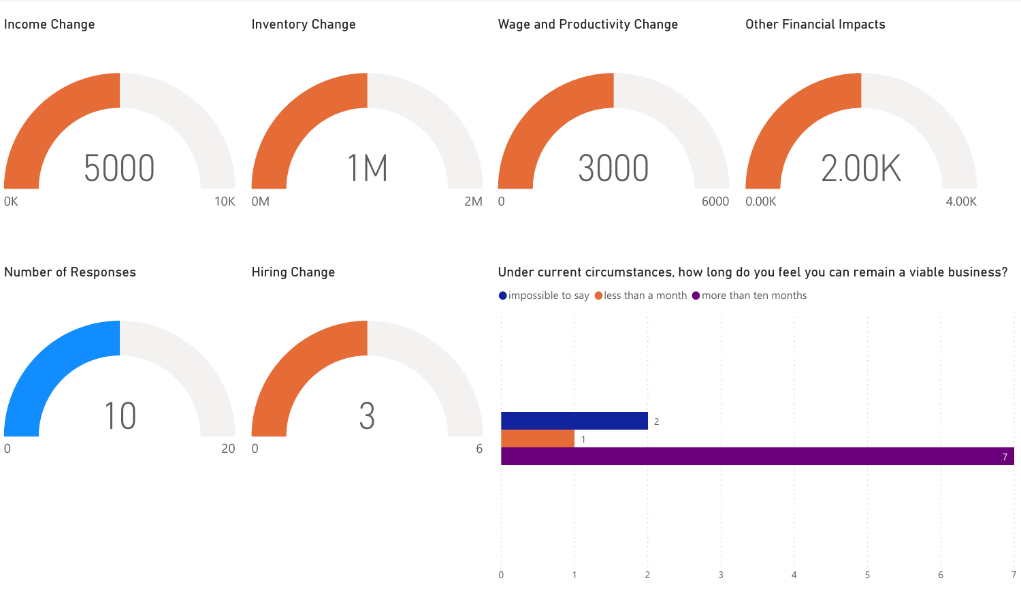